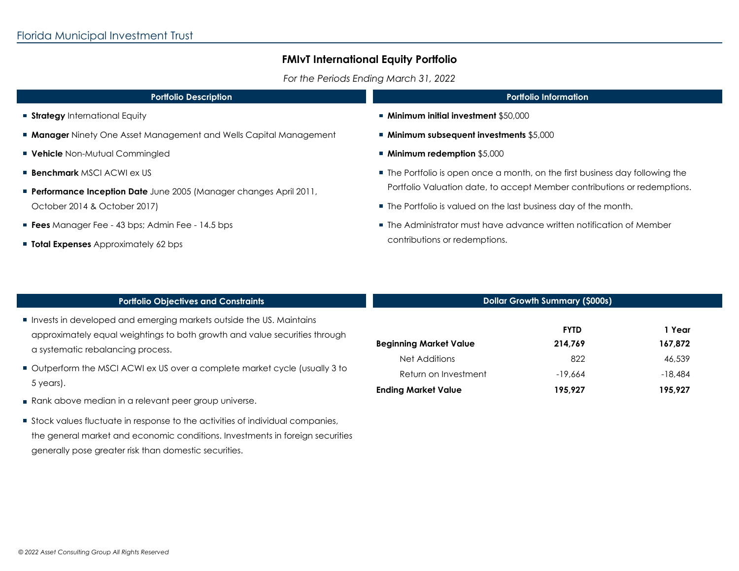## **FMIvT International Equity Portfolio**

*For the Periods Ending March 31, 2022*

| <b>Portfolio Description</b>                                             | <b>Portfolio Information</b>                                                                          |  |
|--------------------------------------------------------------------------|-------------------------------------------------------------------------------------------------------|--|
| <b>Strategy</b> International Equity                                     | $\blacksquare$ Minimum initial investment \$50,000                                                    |  |
| <b>Manager</b> Ninety One Asset Management and Wells Capital Management  | ■ Minimum subsequent investments \$5,000                                                              |  |
| <b>Vehicle</b> Non-Mutual Commingled                                     | ■ Minimum redemption \$5,000                                                                          |  |
| <b>Benchmark</b> MSCI ACWI ex US                                         | ■ The Portfolio is open once a month, on the first business day following the                         |  |
| <b>Performance Inception Date</b> June 2005 (Manager changes April 2011, | Portfolio Valuation date, to accept Member contributions or redemptions.                              |  |
| October 2014 & October 2017)                                             | ■ The Portfolio is valued on the last business day of the month.                                      |  |
| <b>Fees</b> Manager Fee - 43 bps; Admin Fee - 14.5 bps                   | ■ The Administrator must have advance written notification of Member<br>contributions or redemptions. |  |
| <b>Total Expenses</b> Approximately 62 bps                               |                                                                                                       |  |

| <b>Portfolio Objectives and Constraints</b>                                                                                                                                            | <b>Dollar Growth Summary (\$000s)</b> |                        |                     |
|----------------------------------------------------------------------------------------------------------------------------------------------------------------------------------------|---------------------------------------|------------------------|---------------------|
| Invests in developed and emerging markets outside the US. Maintains<br>approximately equal weightings to both growth and value securities through<br>a systematic rebalancing process. | <b>Beginning Market Value</b>         | <b>FYTD</b><br>214,769 | 1 Year<br>167,872   |
| • Outperform the MSCI ACWI ex US over a complete market cycle (usually 3 to                                                                                                            | Net Additions<br>Return on Investment | 822<br>$-19,664$       | 46,539<br>$-18,484$ |
| 5 years).<br>Rank above median in a relevant peer group universe.                                                                                                                      | <b>Ending Market Value</b>            | 195.927                | 195.927             |
| Stock values fluctuate in response to the activities of individual companies,                                                                                                          |                                       |                        |                     |

 *© 2022 Asset Consulting Group All Rights Reserved*

the general market and economic conditions. Investments in foreign securities

generally pose greater risk than domestic securities.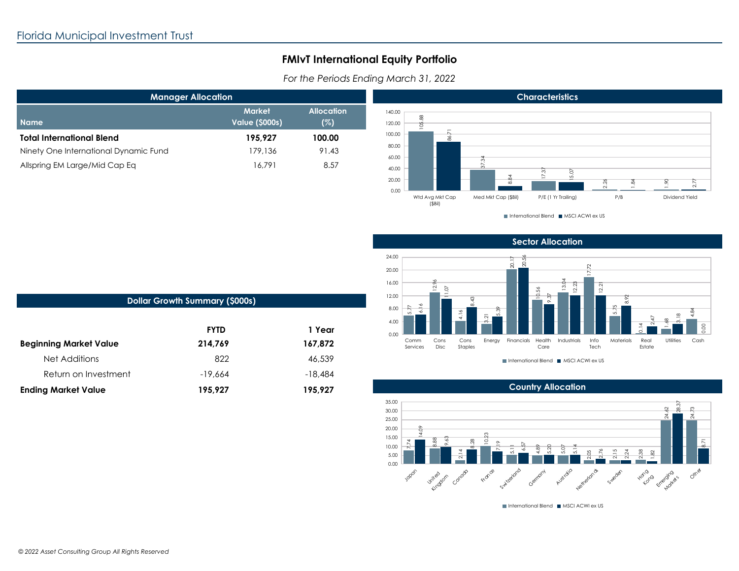## **FMIvT International Equity Portfolio**

For the Periods Ending March 31, 2022

| <b>Manager Allocation</b>             |                                  |                          |  |
|---------------------------------------|----------------------------------|--------------------------|--|
| <b>Name</b>                           | <b>Market</b><br>Value (\$000s), | <b>Allocation</b><br>(%) |  |
| <b>Total International Blend</b>      | 195.927                          | 100.00                   |  |
| Ninety One International Dynamic Fund | 179,136                          | 91.43                    |  |
| Allspring EM Large/Mid Cap Eq         | 16.791                           | 8.57                     |  |



International Blend III MSCI ACWI ex US

**Sector Allocation** 



International Blend III MSCI ACWI ex US



International Blend III MSCI ACWI ex US

| <b>Dollar Growth Summary (\$000s)</b> |             |           |  |  |
|---------------------------------------|-------------|-----------|--|--|
|                                       | <b>FYTD</b> | 1 Year    |  |  |
| <b>Beginning Market Value</b>         | 214,769     | 167,872   |  |  |
| Net Additions                         | 822         | 46,539    |  |  |
| Return on Investment                  | $-19,664$   | $-18.484$ |  |  |
| <b>Ending Market Value</b>            | 195,927     | 195,927   |  |  |
|                                       |             |           |  |  |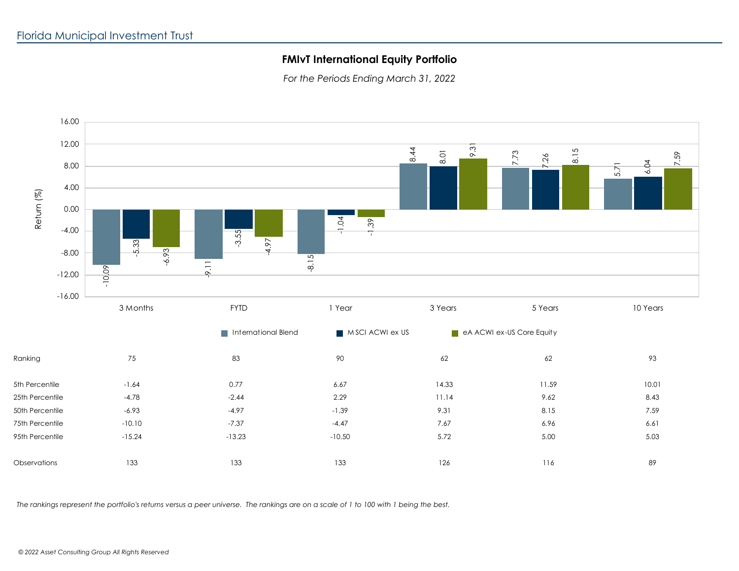## **FMIvT International Equity Portfolio**

*For the Periods Ending March 31, 2022*



*The rankings represent the portfolio's returns versus a peer universe. The rankings are on a scale of 1 to 100 with 1 being the best.*